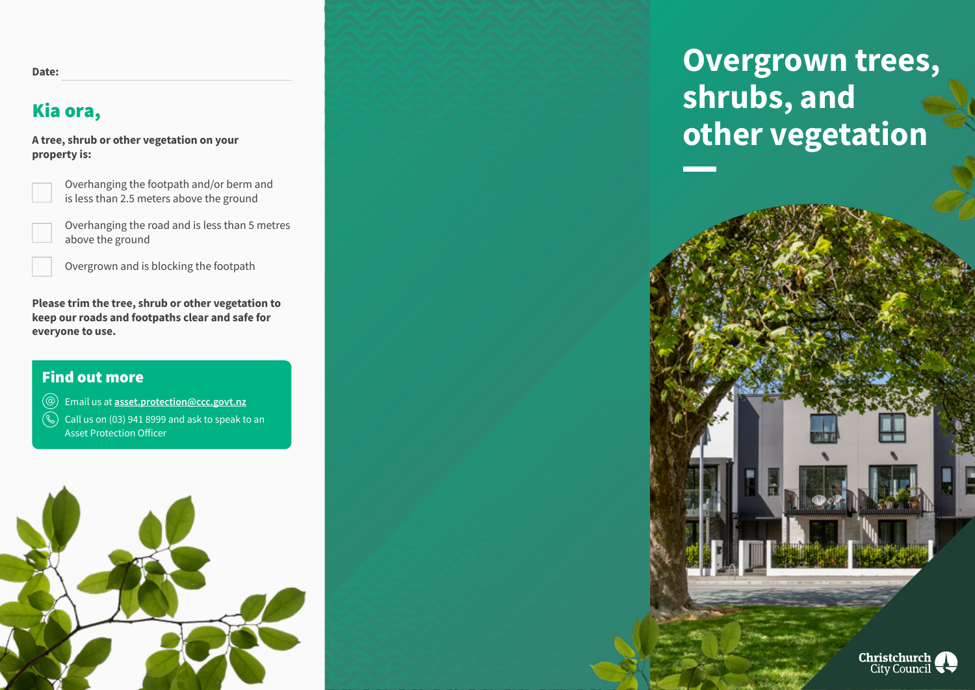# Kia ora,

**A tree, shrub or other vegetation on your property is:**

Overhanging the footpath and/or berm and is less than 2.5 meters above the ground

Overhanging the road and is less than 5 metres above the ground

Overgrown and is blocking the footpath

**Please trim the tree, shrub or other vegetation to keep our roads and footpaths clear and safe for everyone to use.**

#### Find out more

 $\circledcirc$ Email us at **asset.protection@ccc.govt.nz**

 $\mathbb{Q}$ Call us on (03) 941 8999 and ask to speak to an Asset Protection Officer



**Overgrown trees, shrubs, and other vegetation**